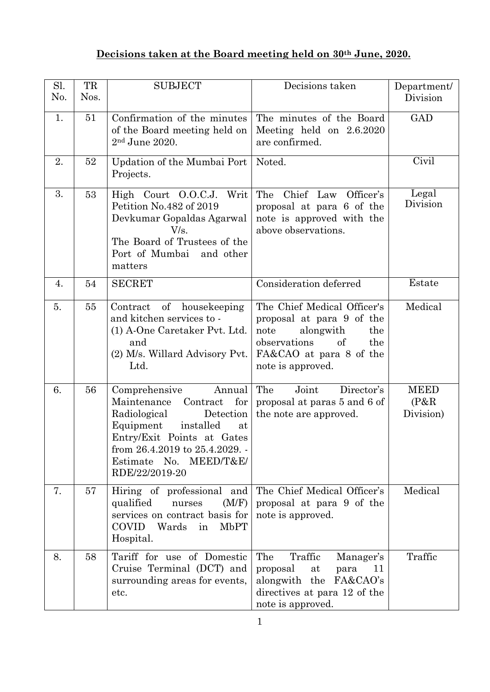## **Decisions taken at the Board meeting held on 30th June, 2020.**

| Sl.<br>No. | TR<br>Nos. | <b>SUBJECT</b>                                                                                                                                                                                                                        | Decisions taken                                                                                                                                                   | Department/<br>Division           |
|------------|------------|---------------------------------------------------------------------------------------------------------------------------------------------------------------------------------------------------------------------------------------|-------------------------------------------------------------------------------------------------------------------------------------------------------------------|-----------------------------------|
| 1.         | 51         | Confirmation of the minutes<br>of the Board meeting held on<br>2 <sup>nd</sup> June 2020.                                                                                                                                             | The minutes of the Board<br>Meeting held on 2.6.2020<br>are confirmed.                                                                                            | <b>GAD</b>                        |
| 2.         | 52         | Updation of the Mumbai Port<br>Projects.                                                                                                                                                                                              | Noted.                                                                                                                                                            | Civil                             |
| 3.         | 53         | High Court O.O.C.J. Writ<br>Petition No.482 of 2019<br>Devkumar Gopaldas Agarwal<br>V/s.<br>The Board of Trustees of the<br>Port of Mumbai and other<br>matters                                                                       | The Chief Law Officer's<br>proposal at para 6 of the<br>note is approved with the<br>above observations.                                                          | Legal<br>Division                 |
| 4.         | 54         | <b>SECRET</b>                                                                                                                                                                                                                         | Consideration deferred                                                                                                                                            | Estate                            |
| 5.         | 55         | Contract of housekeeping<br>and kitchen services to -<br>(1) A-One Caretaker Pvt. Ltd.<br>and<br>(2) M/s. Willard Advisory Pvt.<br>Ltd.                                                                                               | The Chief Medical Officer's<br>proposal at para 9 of the<br>alongwith<br>note<br>the<br>observations<br>of<br>the<br>FA&CAO at para 8 of the<br>note is approved. | Medical                           |
| 6.         | 56         | Comprehensive<br>Annual<br>for<br>Maintenance<br>Contract<br>Radiological<br>Detection<br>Equipment<br>installed<br>at<br>Entry/Exit Points at Gates<br>from 26.4.2019 to 25.4.2029. -<br>MEED/T&E/<br>Estimate No.<br>RDE/22/2019-20 | Joint<br>The<br>Director's<br>proposal at paras 5 and 6 of<br>the note are approved.                                                                              | <b>MEED</b><br>(P&R)<br>Division) |
| 7.         | 57         | Hiring of professional and<br>(M/F)<br>qualified<br>nurses<br>services on contract basis for<br><b>COVID</b><br>Wards<br><b>MbPT</b><br>in<br>Hospital.                                                                               | The Chief Medical Officer's<br>proposal at para 9 of the<br>note is approved.                                                                                     | Medical                           |
| 8.         | 58         | Tariff for use of Domestic<br>Cruise Terminal (DCT) and<br>surrounding areas for events,<br>etc.                                                                                                                                      | The<br>Traffic<br>Manager's<br>proposal<br>at<br>11<br>para<br>FA&CAO's<br>alongwith the<br>directives at para 12 of the<br>note is approved.                     | Traffic                           |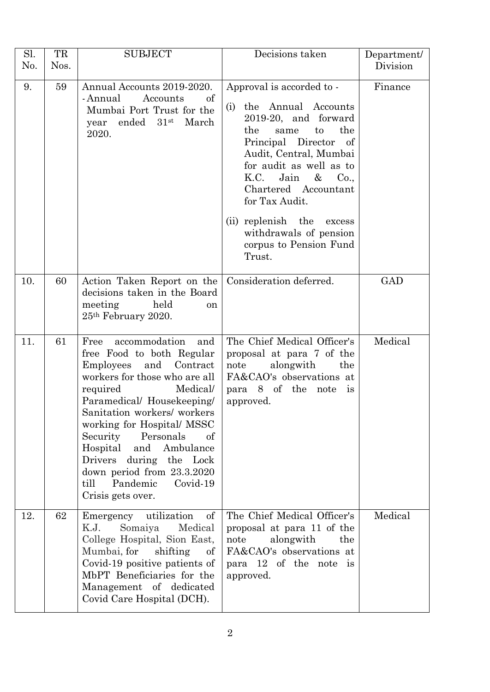| Sl.<br>No. | TR<br>Nos. | <b>SUBJECT</b>                                                                                                                                                                                                                                                                                                                                                                                                | Decisions taken                                                                                                                                                                                                                                                                                                                                                              | Department/<br>Division |
|------------|------------|---------------------------------------------------------------------------------------------------------------------------------------------------------------------------------------------------------------------------------------------------------------------------------------------------------------------------------------------------------------------------------------------------------------|------------------------------------------------------------------------------------------------------------------------------------------------------------------------------------------------------------------------------------------------------------------------------------------------------------------------------------------------------------------------------|-------------------------|
| 9.         | 59         | Annual Accounts 2019-2020.<br>of<br>- Annual<br>Accounts<br>Mumbai Port Trust for the<br>ended $31$ <sup>st</sup><br>March<br>year<br>2020.                                                                                                                                                                                                                                                                   | Approval is accorded to -<br>the Annual Accounts<br>(i)<br>2019-20, and forward<br>the<br>the<br>same<br>to<br>Principal Director<br>$\circ$ of<br>Audit, Central, Mumbai<br>for audit as well as to<br>K.C.<br>Jain<br>$\&$<br>Co.,<br>Chartered Accountant<br>for Tax Audit.<br>(ii) replenish the<br>excess<br>withdrawals of pension<br>corpus to Pension Fund<br>Trust. | Finance                 |
| 10.        | 60         | Action Taken Report on the<br>decisions taken in the Board<br>meeting<br>held<br><sub>on</sub><br>25 <sup>th</sup> February 2020.                                                                                                                                                                                                                                                                             | Consideration deferred.                                                                                                                                                                                                                                                                                                                                                      | <b>GAD</b>              |
| 11.        | 61         | accommodation<br>Free<br>and<br>free Food to both Regular<br>Employees and<br>Contract<br>workers for those who are all<br>required<br>Medical/<br>Paramedical/ Housekeeping/<br>Sanitation workers/ workers<br>working for Hospital/MSSC<br>Security Personals<br>οf<br>Hospital and Ambulance<br>Drivers during the Lock<br>down period from 23.3.2020<br>Pandemic<br>till<br>Covid-19<br>Crisis gets over. | The Chief Medical Officer's<br>proposal at para 7 of the<br>alongwith<br>note<br>the<br>FA&CAO's observations at<br>para 8 of the note is<br>approved.                                                                                                                                                                                                                       | Medical                 |
| 12.        | 62         | Emergency utilization<br>of<br>K.J.<br>Somaiya<br>Medical<br>College Hospital, Sion East,<br>Mumbai, for<br>shifting<br>of<br>Covid-19 positive patients of<br>MbPT Beneficiaries for the<br>Management of dedicated<br>Covid Care Hospital (DCH).                                                                                                                                                            | The Chief Medical Officer's<br>proposal at para 11 of the<br>alongwith<br>note<br>the<br>FA&CAO's observations at<br>para 12 of the note is<br>approved.                                                                                                                                                                                                                     | Medical                 |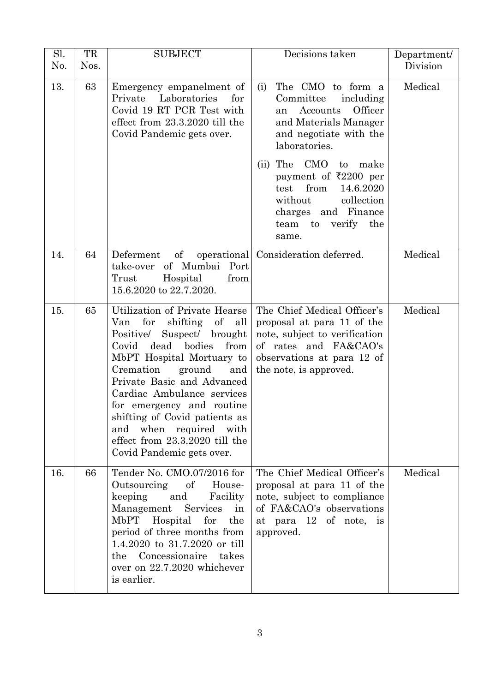| Sl.<br>No. | TR<br>Nos. | <b>SUBJECT</b>                                                                                                                                                                                                                                                                                                                                                                                                         | Decisions taken                                                                                                                                                                                                                                                                                                             | Department/<br>Division |
|------------|------------|------------------------------------------------------------------------------------------------------------------------------------------------------------------------------------------------------------------------------------------------------------------------------------------------------------------------------------------------------------------------------------------------------------------------|-----------------------------------------------------------------------------------------------------------------------------------------------------------------------------------------------------------------------------------------------------------------------------------------------------------------------------|-------------------------|
| 13.        | 63         | Emergency empanelment of<br>Private<br>Laboratories<br>for<br>Covid 19 RT PCR Test with<br>effect from 23.3.2020 till the<br>Covid Pandemic gets over.                                                                                                                                                                                                                                                                 | The CMO to form a<br>(i)<br>including<br>Committee<br>Accounts<br>Officer<br>an<br>and Materials Manager<br>and negotiate with the<br>laboratories.<br>The CMO<br>to<br>make<br>(ii)<br>payment of ₹2200 per<br>from<br>14.6.2020<br>test<br>collection<br>without<br>charges and Finance<br>team to<br>verify the<br>same. | Medical                 |
| 14.        | 64         | $\sigma f$<br>Deferment<br>of Mumbai Port<br>take-over<br>Hospital<br>from<br>Trust<br>15.6.2020 to 22.7.2020.                                                                                                                                                                                                                                                                                                         | operational   Consideration deferred.                                                                                                                                                                                                                                                                                       | Medical                 |
| 15.        | 65         | Utilization of Private Hearse<br>Van<br>for<br>shifting<br>of<br>all<br>Positive/<br>Suspect/ brought<br>dead<br>bodies<br>from<br>Covid<br>MbPT Hospital Mortuary to<br>Cremation<br>ground<br>and<br>Private Basic and Advanced<br>Cardiac Ambulance services<br>for emergency and routine<br>shifting of Covid patients as<br>and when required with<br>effect from 23.3.2020 till the<br>Covid Pandemic gets over. | The Chief Medical Officer's<br>proposal at para 11 of the<br>note, subject to verification<br>of rates and FA&CAO's<br>observations at para 12 of<br>the note, is approved.                                                                                                                                                 | Medical                 |
| 16.        | 66         | Tender No. CMO.07/2016 for<br>Outsourcing<br>$\sigma$<br>House-<br>keeping<br>and<br>Facility<br>Management<br>Services<br>in<br>MbPT Hospital<br>for<br>the<br>period of three months from<br>1.4.2020 to 31.7.2020 or till<br>the Concessionaire takes<br>over on 22.7.2020 whichever<br>is earlier.                                                                                                                 | The Chief Medical Officer's<br>proposal at para 11 of the<br>note, subject to compliance<br>of FA&CAO's observations<br>at para 12 of note, is<br>approved.                                                                                                                                                                 | Medical                 |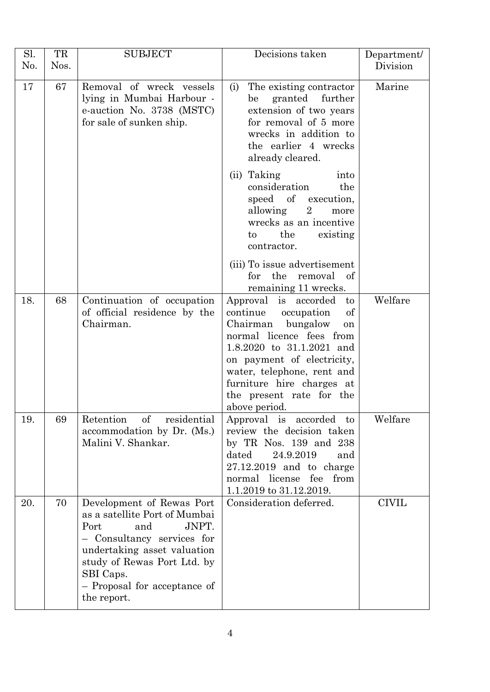| Sl.<br>No. | TR<br>Nos. | <b>SUBJECT</b>                                                                                                                                                                                                                           | Decisions taken                                                                                                                                                                                                                                                                                   | Department/<br>Division |
|------------|------------|------------------------------------------------------------------------------------------------------------------------------------------------------------------------------------------------------------------------------------------|---------------------------------------------------------------------------------------------------------------------------------------------------------------------------------------------------------------------------------------------------------------------------------------------------|-------------------------|
| 17         | 67         | Removal of wreck vessels<br>lying in Mumbai Harbour -<br>e-auction No. 3738 (MSTC)<br>for sale of sunken ship.                                                                                                                           | The existing contractor<br>(i)<br>granted further<br>be<br>extension of two years<br>for removal of 5 more<br>wrecks in addition to<br>the earlier 4 wrecks<br>already cleared.                                                                                                                   | Marine                  |
|            |            |                                                                                                                                                                                                                                          | (ii) Taking<br>into<br>consideration<br>the<br>speed of execution,<br>allowing 2<br>more<br>wrecks as an incentive<br>the<br>existing<br>$\mathbf{t}$<br>contractor.                                                                                                                              |                         |
|            |            |                                                                                                                                                                                                                                          | (iii) To issue advertisement<br>for the removal of<br>remaining 11 wrecks.                                                                                                                                                                                                                        |                         |
| 18.        | 68         | Continuation of occupation<br>of official residence by the<br>Chairman.                                                                                                                                                                  | Approval is accorded<br>$\mathbf{t}$<br>continue<br>occupation<br>of<br>Chairman<br>bungalow<br>on<br>normal licence fees from<br>1.8.2020 to 31.1.2021 and<br>on payment of electricity,<br>water, telephone, rent and<br>furniture hire charges at<br>the present rate for the<br>above period. | Welfare                 |
| 19.        | 69         | Retention<br>οf<br>residential<br>accommodation by Dr. (Ms.)<br>Malini V. Shankar.                                                                                                                                                       | Approval is accorded to<br>review the decision taken<br>by TR Nos. $139$ and $238$<br>dated<br>24.9.2019<br>and<br>$27.12.2019$ and to charge<br>normal license fee from<br>1.1.2019 to 31.12.2019.                                                                                               | Welfare                 |
| 20.        | 70         | Development of Rewas Port<br>as a satellite Port of Mumbai<br>Port<br>and<br>JNPT.<br>Consultancy services for<br>undertaking asset valuation<br>study of Rewas Port Ltd. by<br>SBI Caps.<br>- Proposal for acceptance of<br>the report. | Consideration deferred.                                                                                                                                                                                                                                                                           | <b>CIVIL</b>            |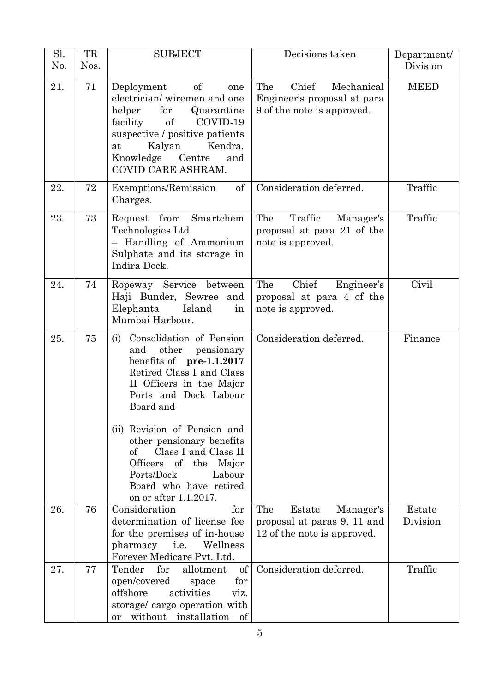| Sl.<br>N <sub>0</sub> . | TR<br>Nos. | <b>SUBJECT</b>                                                                                                                                                                                                                                                                     | Decisions taken                                                                          | Department/<br>Division |
|-------------------------|------------|------------------------------------------------------------------------------------------------------------------------------------------------------------------------------------------------------------------------------------------------------------------------------------|------------------------------------------------------------------------------------------|-------------------------|
| 21.                     | 71         | of<br>Deployment<br>one<br>electrician/wiremen and one<br>for<br>helper<br>Quarantine<br>facility of<br>COVID-19<br>suspective / positive patients<br>Kalyan<br>Kendra,<br>at<br>Knowledge Centre<br>and<br>COVID CARE ASHRAM.                                                     | Chief<br>The<br>Mechanical<br>Engineer's proposal at para<br>9 of the note is approved.  | <b>MEED</b>             |
| 22.                     | 72         | of<br>Exemptions/Remission<br>Charges.                                                                                                                                                                                                                                             | Consideration deferred.                                                                  | Traffic                 |
| 23.                     | 73         | Request from Smartchem<br>Technologies Ltd.<br>Handling of Ammonium<br>Sulphate and its storage in<br>Indira Dock.                                                                                                                                                                 | The<br>Traffic<br>Manager's<br>proposal at para 21 of the<br>note is approved.           | Traffic                 |
| 24.                     | 74         | Ropeway Service between<br>Haji Bunder, Sewree and<br>Elephanta<br>Island<br>in<br>Mumbai Harbour.                                                                                                                                                                                 | Chief<br>The<br>Engineer's<br>proposal at para 4 of the<br>note is approved.             | Civil                   |
| 25.                     | 75         | (i) Consolidation of Pension<br>other<br>and<br>pensionary<br>benefits of $pre-1.1.2017$<br>Retired Class I and Class<br>II Officers in the Major<br>Ports and Dock Labour<br>Board and<br>(ii) Revision of Pension and<br>other pensionary benefits<br>Class I and Class II<br>of | Consideration deferred.                                                                  | Finance                 |
|                         |            | Officers of the Major<br>Ports/Dock<br>Labour<br>Board who have retired<br>on or after 1.1.2017.                                                                                                                                                                                   |                                                                                          |                         |
| 26.                     | 76         | Consideration<br>for<br>determination of license fee<br>for the premises of in-house<br>Wellness<br>pharmacy<br>i.e.<br>Forever Medicare Pvt. Ltd.                                                                                                                                 | The<br>Estate<br>Manager's<br>proposal at paras 9, 11 and<br>12 of the note is approved. | Estate<br>Division      |
| 27.                     | 77         | for<br>Tender<br>allotment<br>$\sigma f$<br>open/covered<br>for<br>space<br>offshore<br>activities<br>viz.<br>storage/ cargo operation with<br>without installation<br>of<br>or                                                                                                    | Consideration deferred.                                                                  | Traffic                 |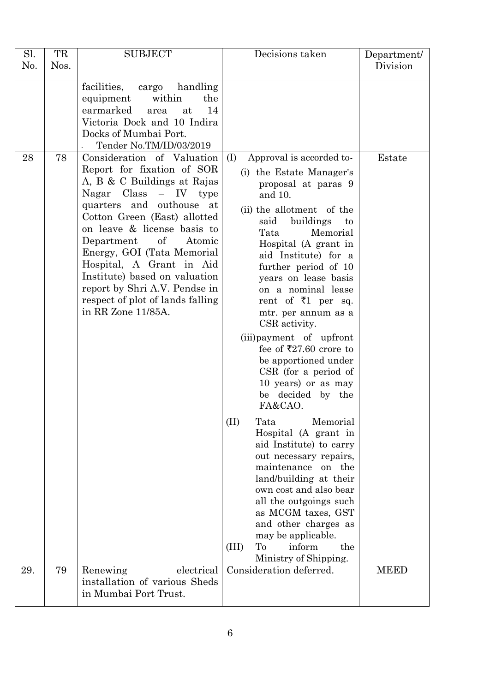| Sl.<br>No. | TR<br>Nos. | <b>SUBJECT</b>                                                                                                                                                                                                                                                                                                                                                                                                                    | Decisions taken                                                                                                                                                                                                                                                                                                                                                                                                                                                                                                                           | Department/<br>Division |
|------------|------------|-----------------------------------------------------------------------------------------------------------------------------------------------------------------------------------------------------------------------------------------------------------------------------------------------------------------------------------------------------------------------------------------------------------------------------------|-------------------------------------------------------------------------------------------------------------------------------------------------------------------------------------------------------------------------------------------------------------------------------------------------------------------------------------------------------------------------------------------------------------------------------------------------------------------------------------------------------------------------------------------|-------------------------|
|            |            | facilities,<br>handling<br>cargo<br>within<br>the<br>equipment<br>earmarked<br>14<br>at<br>area<br>Victoria Dock and 10 Indira<br>Docks of Mumbai Port.<br>Tender No.TM/ID/03/2019                                                                                                                                                                                                                                                |                                                                                                                                                                                                                                                                                                                                                                                                                                                                                                                                           |                         |
| 28         | 78         | Consideration of Valuation<br>Report for fixation of SOR<br>A, B & C Buildings at Rajas<br>Nagar $Class - IV$ type<br>quarters and outhouse at<br>Cotton Green (East) allotted<br>on leave & license basis to<br>of<br>Department<br>Atomic<br>Energy, GOI (Tata Memorial<br>Hospital, A Grant in Aid<br>Institute) based on valuation<br>report by Shri A.V. Pendse in<br>respect of plot of lands falling<br>in RR Zone 11/85A. | Approval is accorded to-<br>(I)<br>(i) the Estate Manager's<br>proposal at paras 9<br>and 10.<br>(ii) the allotment of the<br>said<br>buildings<br>to<br>Tata<br>Memorial<br>Hospital (A grant in<br>aid Institute) for a<br>further period of 10<br>years on lease basis<br>on a nominal lease<br>rent of $\overline{z}1$ per sq.<br>mtr. per annum as a<br>CSR activity.<br>(iii) payment of upfront<br>fee of ₹27.60 crore to<br>be apportioned under<br>$CSR$ (for a period of<br>10 years) or as may<br>be decided by the<br>FA&CAO. | Estate                  |
|            |            |                                                                                                                                                                                                                                                                                                                                                                                                                                   | (II)<br>Memorial<br>Tata<br>Hospital (A grant in<br>aid Institute) to carry<br>out necessary repairs,<br>maintenance on the<br>land/building at their<br>own cost and also bear<br>all the outgoings such<br>as MCGM taxes, GST<br>and other charges as<br>may be applicable.<br>(III)<br>To<br>inform<br>the<br>Ministry of Shipping.                                                                                                                                                                                                    |                         |
| 29.        | 79         | electrical<br>Renewing<br>installation of various Sheds<br>in Mumbai Port Trust.                                                                                                                                                                                                                                                                                                                                                  | Consideration deferred.                                                                                                                                                                                                                                                                                                                                                                                                                                                                                                                   | <b>MEED</b>             |